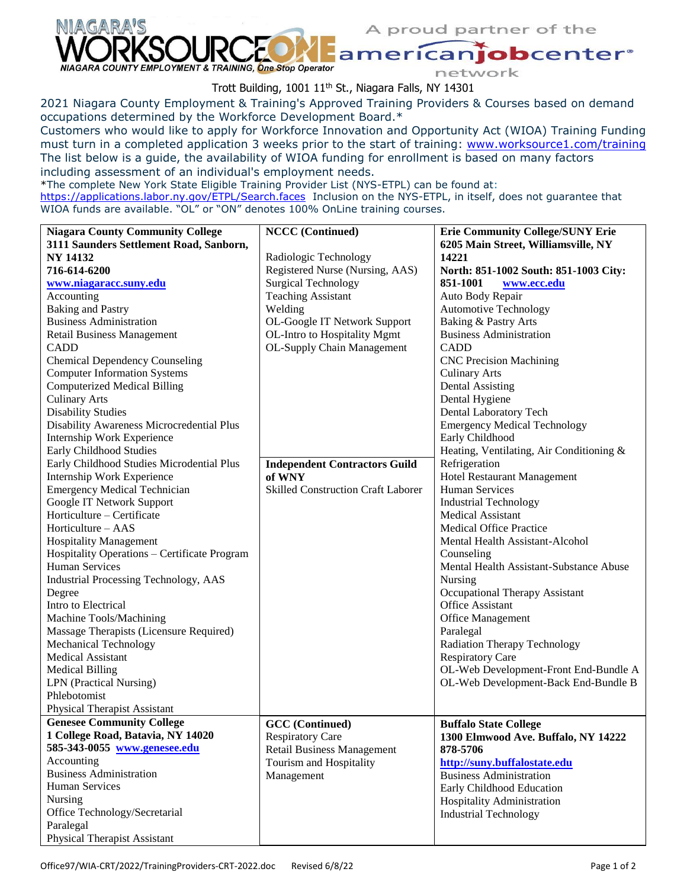

A proud partner of the

obcenter<sup>®</sup> network

Trott Building, 1001 11<sup>th</sup> St., Niagara Falls, NY 14301

2021 Niagara County Employment & Training's Approved Training Providers & Courses based on demand occupations determined by the Workforce Development Board.\*

Customers who would like to apply for Workforce Innovation and Opportunity Act (WIOA) Training Funding must turn in a completed application 3 weeks prior to the start of training: [www.worksource1.com/training](http://www.worksource1.com/training) The list below is a guide, the availability of WIOA funding for enrollment is based on many factors including assessment of an individual's employment needs.

\*The complete New York State Eligible Training Provider List (NYS-ETPL) can be found at: <https://applications.labor.ny.gov/ETPL/Search.faces>Inclusion on the NYS-ETPL, in itself, does not guarantee that WIOA funds are available. "OL" or "ON" denotes 100% OnLine training courses.

| <b>Niagara County Community College</b>      | <b>NCCC</b> (Continued)                   | <b>Erie Community College/SUNY Erie</b>  |
|----------------------------------------------|-------------------------------------------|------------------------------------------|
| 3111 Saunders Settlement Road, Sanborn,      |                                           | 6205 Main Street, Williamsville, NY      |
| <b>NY 14132</b>                              | Radiologic Technology                     | 14221                                    |
| 716-614-6200                                 | Registered Nurse (Nursing, AAS)           | North: 851-1002 South: 851-1003 City:    |
| www.niagaracc.suny.edu                       | <b>Surgical Technology</b>                | 851-1001<br>www.ecc.edu                  |
| Accounting                                   | <b>Teaching Assistant</b>                 | Auto Body Repair                         |
|                                              | Welding                                   | Automotive Technology                    |
| <b>Baking and Pastry</b>                     |                                           |                                          |
| <b>Business Administration</b>               | OL-Google IT Network Support              | Baking & Pastry Arts                     |
| <b>Retail Business Management</b>            | OL-Intro to Hospitality Mgmt              | <b>Business Administration</b>           |
| <b>CADD</b>                                  | OL-Supply Chain Management                | <b>CADD</b>                              |
| <b>Chemical Dependency Counseling</b>        |                                           | <b>CNC Precision Machining</b>           |
| <b>Computer Information Systems</b>          |                                           | <b>Culinary Arts</b>                     |
| <b>Computerized Medical Billing</b>          |                                           | <b>Dental Assisting</b>                  |
| <b>Culinary Arts</b>                         |                                           | Dental Hygiene                           |
| <b>Disability Studies</b>                    |                                           | Dental Laboratory Tech                   |
| Disability Awareness Microcredential Plus    |                                           | <b>Emergency Medical Technology</b>      |
| Internship Work Experience                   |                                           | Early Childhood                          |
| Early Childhood Studies                      |                                           | Heating, Ventilating, Air Conditioning & |
| Early Childhood Studies Microdential Plus    | <b>Independent Contractors Guild</b>      | Refrigeration                            |
| Internship Work Experience                   | of WNY                                    | <b>Hotel Restaurant Management</b>       |
| <b>Emergency Medical Technician</b>          | <b>Skilled Construction Craft Laborer</b> | <b>Human Services</b>                    |
| Google IT Network Support                    |                                           | <b>Industrial Technology</b>             |
| Horticulture - Certificate                   |                                           | <b>Medical Assistant</b>                 |
| Horticulture - AAS                           |                                           | <b>Medical Office Practice</b>           |
| <b>Hospitality Management</b>                |                                           | Mental Health Assistant-Alcohol          |
| Hospitality Operations - Certificate Program |                                           | Counseling                               |
| <b>Human Services</b>                        |                                           | Mental Health Assistant-Substance Abuse  |
| Industrial Processing Technology, AAS        |                                           | Nursing                                  |
| Degree                                       |                                           | Occupational Therapy Assistant           |
| Intro to Electrical                          |                                           | Office Assistant                         |
| Machine Tools/Machining                      |                                           | <b>Office Management</b>                 |
|                                              |                                           | Paralegal                                |
| Massage Therapists (Licensure Required)      |                                           |                                          |
| Mechanical Technology                        |                                           | <b>Radiation Therapy Technology</b>      |
| <b>Medical Assistant</b>                     |                                           | <b>Respiratory Care</b>                  |
| <b>Medical Billing</b>                       |                                           | OL-Web Development-Front End-Bundle A    |
| LPN (Practical Nursing)                      |                                           | OL-Web Development-Back End-Bundle B     |
| Phlebotomist                                 |                                           |                                          |
| Physical Therapist Assistant                 |                                           |                                          |
| <b>Genesee Community College</b>             | <b>GCC</b> (Continued)                    | <b>Buffalo State College</b>             |
| 1 College Road, Batavia, NY 14020            | <b>Respiratory Care</b>                   | 1300 Elmwood Ave. Buffalo, NY 14222      |
| 585-343-0055 www.genesee.edu                 | <b>Retail Business Management</b>         | 878-5706                                 |
| Accounting                                   | Tourism and Hospitality                   | http://suny.buffalostate.edu             |
| <b>Business Administration</b>               | Management                                | <b>Business Administration</b>           |
| <b>Human Services</b>                        |                                           | Early Childhood Education                |
| Nursing                                      |                                           | Hospitality Administration               |
| Office Technology/Secretarial                |                                           | <b>Industrial Technology</b>             |
| Paralegal                                    |                                           |                                          |
| <b>Physical Therapist Assistant</b>          |                                           |                                          |